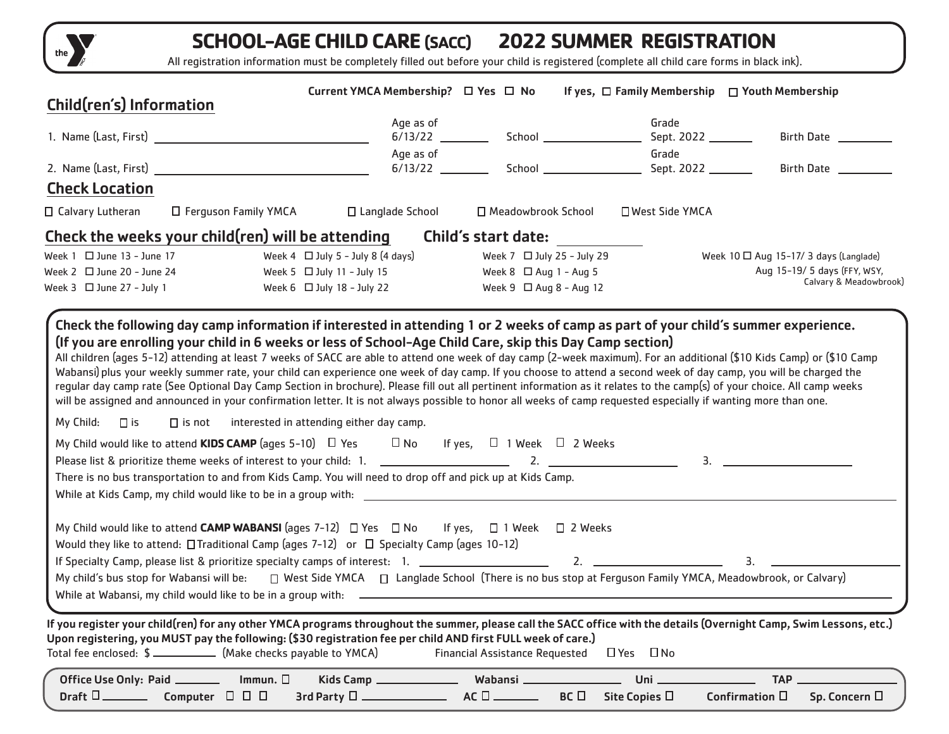

## **SCHOOL-AGE CHILD CARE (SACC) 2022 SUMMER REGISTRATION**

All registration information must be completely filled out before your child is registered (complete all child care forms in black ink).

| Child(ren's) Information                                                                                                                                                                                                                                                                                                                                                                                                                                                                                                                                                                                                                                                                                                                                                                                                                                                                                                                                                                                                                                                    | Current YMCA Membership? □ Yes □ No                                                                        |                                       | If yes, $\Box$ Family Membership $\Box$ Youth Membership |                                                                                                                                                                                                                                                                                                                                                                                                                                                           |
|-----------------------------------------------------------------------------------------------------------------------------------------------------------------------------------------------------------------------------------------------------------------------------------------------------------------------------------------------------------------------------------------------------------------------------------------------------------------------------------------------------------------------------------------------------------------------------------------------------------------------------------------------------------------------------------------------------------------------------------------------------------------------------------------------------------------------------------------------------------------------------------------------------------------------------------------------------------------------------------------------------------------------------------------------------------------------------|------------------------------------------------------------------------------------------------------------|---------------------------------------|----------------------------------------------------------|-----------------------------------------------------------------------------------------------------------------------------------------------------------------------------------------------------------------------------------------------------------------------------------------------------------------------------------------------------------------------------------------------------------------------------------------------------------|
|                                                                                                                                                                                                                                                                                                                                                                                                                                                                                                                                                                                                                                                                                                                                                                                                                                                                                                                                                                                                                                                                             | Age as of                                                                                                  |                                       | Grade<br>Sept. 2022 _______                              | Birth Date                                                                                                                                                                                                                                                                                                                                                                                                                                                |
| 2. Name (Last, First)                                                                                                                                                                                                                                                                                                                                                                                                                                                                                                                                                                                                                                                                                                                                                                                                                                                                                                                                                                                                                                                       | Age as of                                                                                                  |                                       | Grade                                                    | Birth Date __________                                                                                                                                                                                                                                                                                                                                                                                                                                     |
| <b>Check Location</b>                                                                                                                                                                                                                                                                                                                                                                                                                                                                                                                                                                                                                                                                                                                                                                                                                                                                                                                                                                                                                                                       |                                                                                                            |                                       |                                                          |                                                                                                                                                                                                                                                                                                                                                                                                                                                           |
| $\Box$ Calvary Lutheran                                                                                                                                                                                                                                                                                                                                                                                                                                                                                                                                                                                                                                                                                                                                                                                                                                                                                                                                                                                                                                                     | $\Box$ Ferguson Family YMCA $\Box$ Langlade School                                                         | □ Meadowbrook School                  | □ West Side YMCA                                         |                                                                                                                                                                                                                                                                                                                                                                                                                                                           |
| Check the weeks your child(ren) will be attending                                                                                                                                                                                                                                                                                                                                                                                                                                                                                                                                                                                                                                                                                                                                                                                                                                                                                                                                                                                                                           |                                                                                                            | Child's start date:                   |                                                          |                                                                                                                                                                                                                                                                                                                                                                                                                                                           |
| Week $1 \square$ June $13 -$ June $17$                                                                                                                                                                                                                                                                                                                                                                                                                                                                                                                                                                                                                                                                                                                                                                                                                                                                                                                                                                                                                                      | Week 4 $\Box$ July 5 - July 8 (4 days)                                                                     | Week $7 \square$ July 25 - July 29    |                                                          | Week $10 \square$ Aug 15-17/ 3 days (Langlade)                                                                                                                                                                                                                                                                                                                                                                                                            |
| Week $2 \square$ June 20 - June 24                                                                                                                                                                                                                                                                                                                                                                                                                                                                                                                                                                                                                                                                                                                                                                                                                                                                                                                                                                                                                                          | Week 5 $\Box$ July 11 - July 15                                                                            | Week $8 \square$ Aug 1 - Aug 5        |                                                          | Aug 15-19/ 5 days (FFY, WSY,<br>Calvary & Meadowbrook)                                                                                                                                                                                                                                                                                                                                                                                                    |
| Week $3 \square$ June 27 - July 1                                                                                                                                                                                                                                                                                                                                                                                                                                                                                                                                                                                                                                                                                                                                                                                                                                                                                                                                                                                                                                           | Week $6 \square$ July 18 - July 22                                                                         | Week $9 \square$ Aug $8 -$ Aug 12     |                                                          |                                                                                                                                                                                                                                                                                                                                                                                                                                                           |
| All children (ages 5-12) attending at least 7 weeks of SACC are able to attend one week of day camp (2-week maximum). For an additional (\$10 Kids Camp) or (\$10 Camp<br>Wabansi) plus your weekly summer rate, your child can experience one week of day camp. If you choose to attend a second week of day camp, you will be charged the<br>regular day camp rate (See Optional Day Camp Section in brochure). Please fill out all pertinent information as it relates to the camp(s) of your choice. All camp weeks<br>will be assigned and announced in your confirmation letter. It is not always possible to honor all weeks of camp requested especially if wanting more than one.<br>My Child: $\Box$ is<br>$\square$ is not<br>My Child would like to attend KIDS CAMP (ages 5-10) $\Box$ Yes $\Box$ No If yes, $\Box$ 1 Week $\Box$ 2 Weeks<br>Please list & prioritize theme weeks of interest to your child: 1. _________________________________<br>There is no bus transportation to and from Kids Camp. You will need to drop off and pick up at Kids Camp. | interested in attending either day camp.                                                                   |                                       | 2. $\qquad \qquad$                                       | $\overline{\mathbf{3}}$ , $\overline{\mathbf{3}}$ , $\overline{\mathbf{3}}$ , $\overline{\mathbf{3}}$ , $\overline{\mathbf{3}}$ , $\overline{\mathbf{3}}$ , $\overline{\mathbf{3}}$ , $\overline{\mathbf{3}}$ , $\overline{\mathbf{3}}$ , $\overline{\mathbf{3}}$ , $\overline{\mathbf{3}}$ , $\overline{\mathbf{3}}$ , $\overline{\mathbf{3}}$ , $\overline{\mathbf{3}}$ , $\overline{\mathbf{3}}$ , $\overline{\mathbf{3}}$ , $\overline{\mathbf{3}}$ , |
|                                                                                                                                                                                                                                                                                                                                                                                                                                                                                                                                                                                                                                                                                                                                                                                                                                                                                                                                                                                                                                                                             |                                                                                                            |                                       |                                                          |                                                                                                                                                                                                                                                                                                                                                                                                                                                           |
| My Child would like to attend CAMP WABANSI (ages 7-12) $\Box$ Yes $\Box$ No If yes, $\Box$ 1 Week $\Box$ 2 Weeks<br>Would they like to attend: $\Box$ Traditional Camp (ages 7-12) or $\Box$ Specialty Camp (ages 10-12)<br>If Specialty Camp, please list & prioritize specialty camps of interest: 1. _______________________<br>My child's bus stop for Wabansi will be:<br>While at Wabansi, my child would like to be in a group with: 2000 Content Content Content Content Content Content Content Content Content Content Content Content Content Content Content Content Content Content Content Cont                                                                                                                                                                                                                                                                                                                                                                                                                                                               | □ West Side YMCA □ Langlade School (There is no bus stop at Ferguson Family YMCA, Meadowbrook, or Calvary) |                                       | 2.                                                       | 3.                                                                                                                                                                                                                                                                                                                                                                                                                                                        |
| If you register your child(ren) for any other YMCA programs throughout the summer, please call the SACC office with the details (Overnight Camp, Swim Lessons, etc.)<br>Upon registering, you MUST pay the following: (\$30 registration fee per child AND first FULL week of care.)<br>Total fee enclosed: \$ _______________ (Make checks payable to YMCA)                                                                                                                                                                                                                                                                                                                                                                                                                                                                                                                                                                                                                                                                                                                |                                                                                                            | <b>Financial Assistance Requested</b> | □ Yes □ No                                               |                                                                                                                                                                                                                                                                                                                                                                                                                                                           |
| Immun. $\square$<br>Office Use Only: Paid _______<br>Draft $\square$ Computer $\square$ $\square$                                                                                                                                                                                                                                                                                                                                                                                                                                                                                                                                                                                                                                                                                                                                                                                                                                                                                                                                                                           | Kids Camp _______________<br>$3$ rd Party $\square$                                                        | Wabansi __<br>$AC \Box$<br>BC         | Uni_<br>Site Copies □<br>Confirmation $\Box$             | <b>TAP</b><br>Sp. Concern □                                                                                                                                                                                                                                                                                                                                                                                                                               |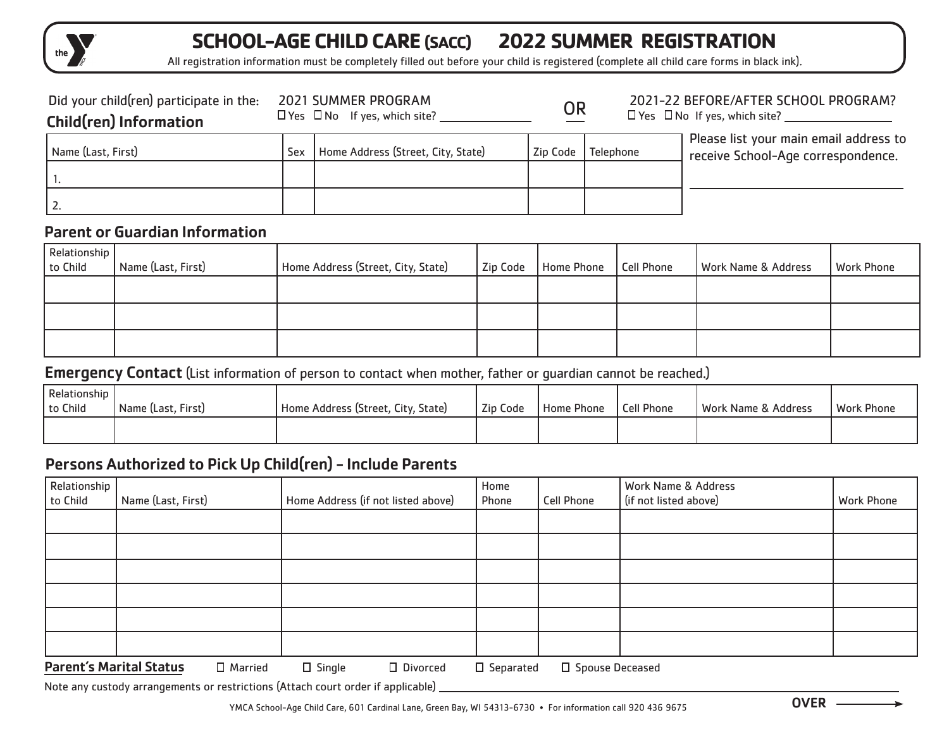

## **SCHOOL-AGE CHILD CARE (SACC) 2022 SUMMER REGISTRATION**

All registration information must be completely filled out before your child is registered (complete all child care forms in black ink).

| Did your child(ren) participate in the:<br><b>Child(ren) Information</b> |     | <b>2021 SUMMER PROGRAM</b><br>$\Box$ Yes $\Box$ No If yes, which site? | <b>OR</b> |           | 2021-22 BEFORE/AFTER SCHOOL PROGRAM?<br>$\Box$ Yes $\Box$ No If yes, which site? |
|--------------------------------------------------------------------------|-----|------------------------------------------------------------------------|-----------|-----------|----------------------------------------------------------------------------------|
| Name (Last, First)                                                       | Sex | Home Address (Street, City, State)                                     | Zip Code  | Telephone | Please list your main email address to<br>receive School-Age correspondence.     |
|                                                                          |     |                                                                        |           |           |                                                                                  |
| 12.                                                                      |     |                                                                        |           |           |                                                                                  |

## Parent or Guardian Information

| Relationship<br>to Child | Name (Last, First) | Home Address (Street, City, State) | Zip Code | Home Phone | Cell Phone | Work Name & Address | <b>Work Phone</b> |
|--------------------------|--------------------|------------------------------------|----------|------------|------------|---------------------|-------------------|
|                          |                    |                                    |          |            |            |                     |                   |
|                          |                    |                                    |          |            |            |                     |                   |
|                          |                    |                                    |          |            |            |                     |                   |

#### **Emergency Contact** (List information of person to contact when mother, father or guardian cannot be reached.)

| Relationship<br>to Child | Name (Last, First) | Home Address (Street, City, State) | Zip Code | Home Phone | Cell Phone | l Work Name & Address | <b>Work Phone</b> |
|--------------------------|--------------------|------------------------------------|----------|------------|------------|-----------------------|-------------------|
|                          |                    |                                    |          |            |            |                       |                   |

## Persons Authorized to Pick Up Child(ren) - Include Parents

| Relationship <sup>1</sup><br>Name (Last, First) | Home Address (if not listed above) | Home<br>Phone | <b>Cell Phone</b> | Work Name & Address<br>(if not listed above) | <b>Work Phone</b> |
|-------------------------------------------------|------------------------------------|---------------|-------------------|----------------------------------------------|-------------------|
|                                                 |                                    |               |                   |                                              |                   |
|                                                 |                                    |               |                   |                                              |                   |
|                                                 |                                    |               |                   |                                              |                   |
|                                                 |                                    |               |                   |                                              |                   |
|                                                 |                                    |               |                   |                                              |                   |
|                                                 |                                    |               |                   |                                              |                   |
|                                                 |                                    |               |                   |                                              |                   |

**Parent's Marital Status**  $\Box$  Married  $\Box$  Single  $\Box$  Divorced  $\Box$  Separated  $\Box$  Spouse Deceased

Note any custody arrangements or restrictions (Attach court order if applicable)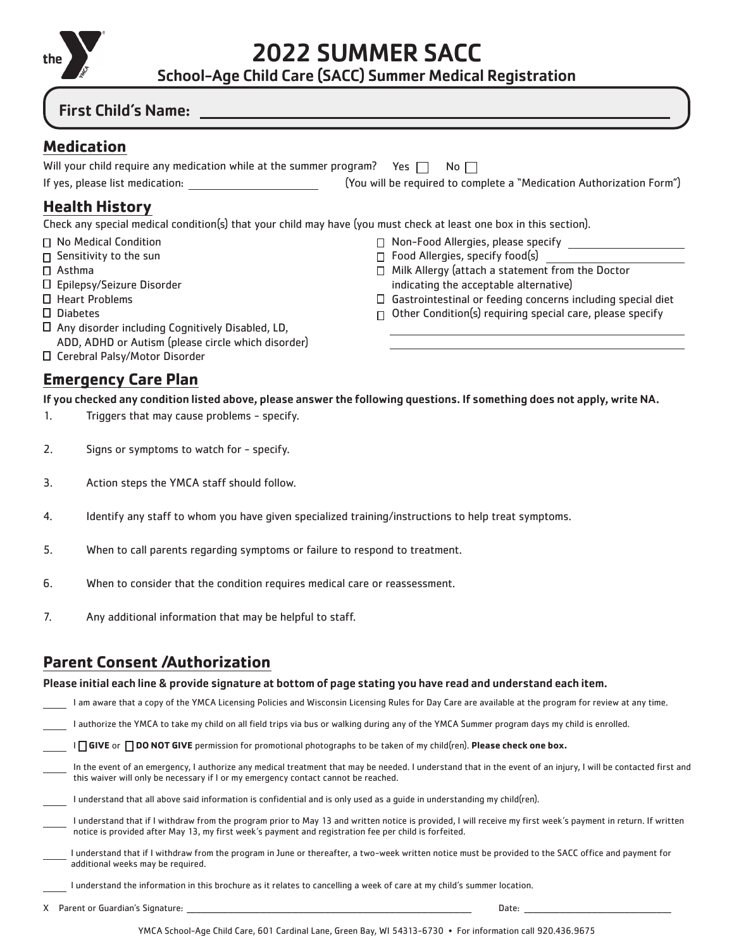

2022 SUMMER SACC

School-Age Child Care (SACC) Summer Medical Registration

□ Non-Food Allergies, please specify □ Food Allergies, specify food(s)

indicating the acceptable alternative)

□ Milk Allergy (attach a statement from the Doctor

 $\Box$  Gastrointestinal or feeding concerns including special diet  $\Box$  Other Condition(s) requiring special care, please specify

### First Child's Name:

## **Medication**

| Will your child require any medication while at the summer program? Yes $\Box$ No $\Box$ |  |  |                                                                      |
|------------------------------------------------------------------------------------------|--|--|----------------------------------------------------------------------|
| If yes, please list medication:                                                          |  |  | (You will be required to complete a "Medication Authorization Form") |

## **Health History**

Check any special medical condition(s) that your child may have (you must check at least one box in this section).

- □ No Medical Condition
- $\Box$  Sensitivity to the sun
- □ Asthma
- □ Epilepsy/Seizure Disorder
- □ Heart Problems
- Diabetes
- $\Box$  Any disorder including Cognitively Disabled, LD,
- ADD, ADHD or Autism (please circle which disorder)
- Cerebral Palsy/Motor Disorder

## **Emergency Care Plan**

If you checked any condition listed above, please answer the following questions. If something does not apply, write NA.

- 1. Triggers that may cause problems specify.
- 2. Signs or symptoms to watch for specify.
- 3. Action steps the YMCA staff should follow.
- 4. Identify any staff to whom you have given specialized training/instructions to help treat symptoms.
- 5. When to call parents regarding symptoms or failure to respond to treatment.
- 6. When to consider that the condition requires medical care or reassessment.
- 7. Any additional information that may be helpful to staff.

## **Parent Consent /Authorization**

#### Please initial each line & provide signature at bottom of page stating you have read and understand each item.

I am aware that a copy of the YMCA Licensing Policies and Wisconsin Licensing Rules for Day Care are available at the program for review at any time.

I authorize the YMCA to take my child on all field trips via bus or walking during any of the YMCA Summer program days my child is enrolled.

I **GIVE** or **DO NOT GIVE** permission for promotional photographs to be taken of my child(ren). **Please check one box.**

 In the event of an emergency, I authorize any medical treatment that may be needed. I understand that in the event of an injury, I will be contacted first and this waiver will only be necessary if I or my emergency contact cannot be reached.

| I understand that all above said information is confidential and is only used as a guide in understanding my child(ren). |  |
|--------------------------------------------------------------------------------------------------------------------------|--|
|--------------------------------------------------------------------------------------------------------------------------|--|

- I understand that if I withdraw from the program prior to May 13 and written notice is provided, I will receive my first week's payment in return. If written notice is provided after May 13, my first week's payment and registration fee per child is forfeited.
- I understand that if I withdraw from the program in June or thereafter, a two-week written notice must be provided to the SACC office and payment for additional weeks may be required.

I understand the information in this brochure as it relates to cancelling a week of care at my child's summer location.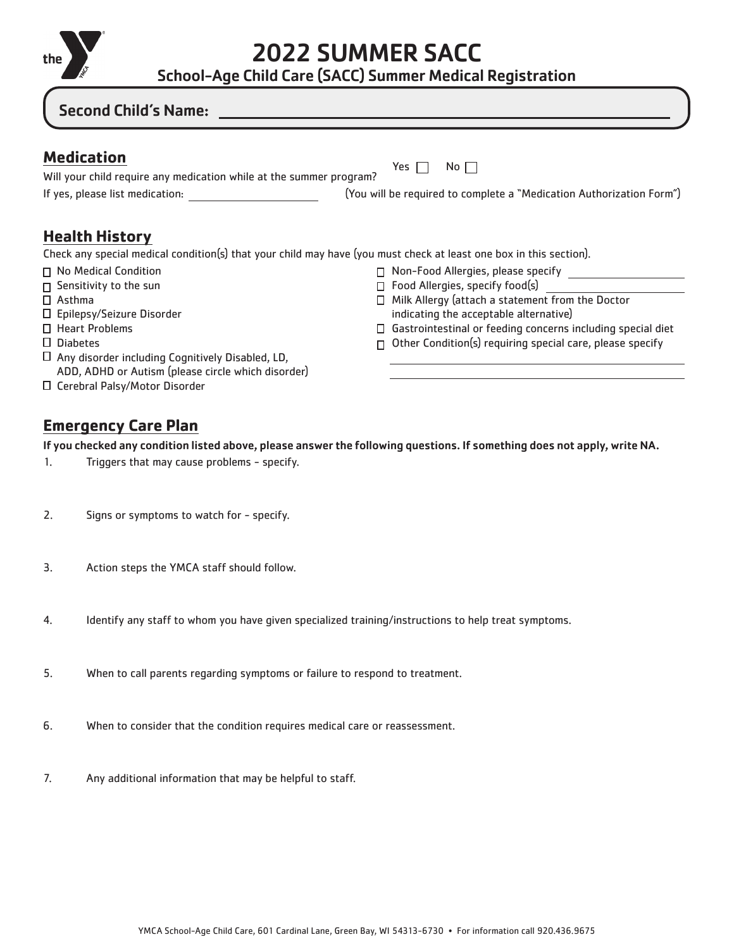

2022 SUMMER SACC

School-Age Child Care (SACC) Summer Medical Registration

## Second Child's Name:

Yes  $\Box$  No  $\Box$ 

If yes, please list medication: (You will be required to complete a "Medication Authorization Form")

## **Health History**

Check any special medical condition(s) that your child may have (you must check at least one box in this section).

- □ No Medical Condition
- $\Box$  Sensitivity to the sun
- □ Asthma
- Epilepsy/Seizure Disorder
- □ Heart Problems
- Diabetes
- $\Box$  Any disorder including Cognitively Disabled, LD, ADD, ADHD or Autism (please circle which disorder)

Will your child require any medication while at the summer program?

□ Cerebral Palsy/Motor Disorder

- □ Non-Food Allergies, please specify
- □ Food Allergies, specify food(s)
- $\Box$  Milk Allergy (attach a statement from the Doctor indicating the acceptable alternative)
- Gastrointestinal or feeding concerns including special diet
- $\Box$  Other Condition(s) requiring special care, please specify

## **Emergency Care Plan**

If you checked any condition listed above, please answer the following questions. If something does not apply, write NA.

- 1. Triggers that may cause problems specify.
- 2. Signs or symptoms to watch for specify.
- 3. Action steps the YMCA staff should follow.
- 4. Identify any staff to whom you have given specialized training/instructions to help treat symptoms.
- 5. When to call parents regarding symptoms or failure to respond to treatment.
- 6. When to consider that the condition requires medical care or reassessment.
- 7. Any additional information that may be helpful to staff.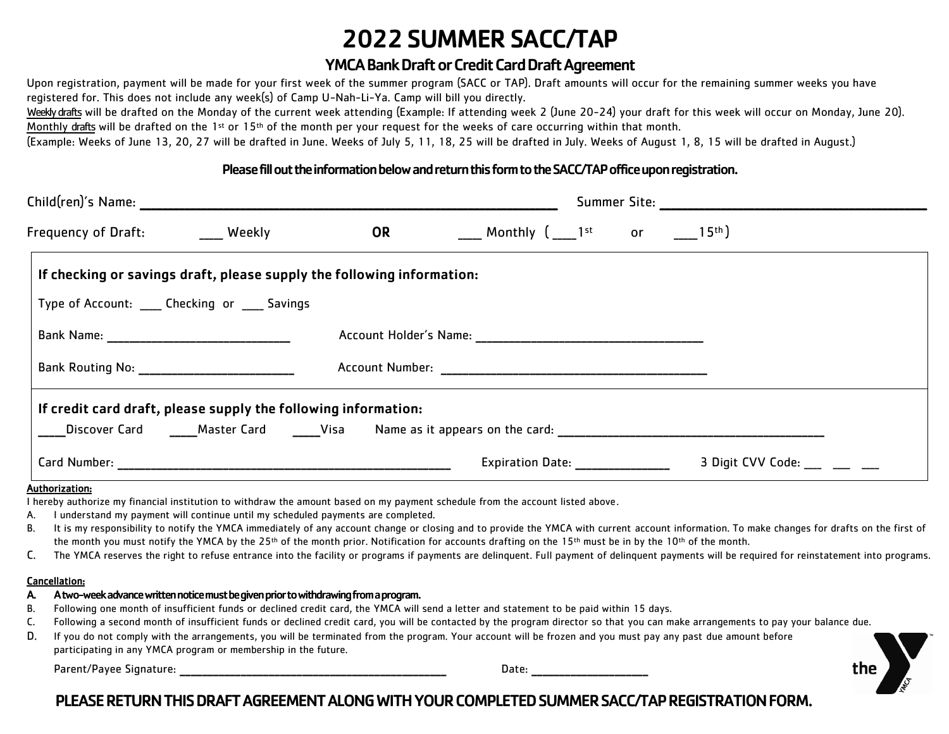## 2022SUMMERSACC/TAP

## YMCA Bank Draft or Credit Card Draft Agreement

Upon registration, payment will be made for your first week of the summer program (SACC or TAP). Draft amounts will occur for the remaining summer weeks you have registered for. This does not include any week(s) of Camp U-Nah-Li-Ya. Camp will bill you directly.

Weekly drafts will be drafted on the Monday of the current week attending (Example: If attending week 2 (June 20-24) your draft for this week will occur on Monday, June 20). Monthly drafts will be drafted on the 1<sup>st</sup> or 15<sup>th</sup> of the month per your request for the weeks of care occurring within that month.

(Example: Weeks of June 13, 20, 27 will be drafted in June. Weeks of July 5, 11, 18, 25 will be drafted in July. Weeks of August 1, 8, 15 will be drafted in August.)

#### Please fill out the information below and return this form to the SACC/TAP office upon registration.

| Child(ren)'s Name: Entrancement of the state of the state of the state of the state of the state of the state o      |  |           |                                                                                                                                                                                                                                                                                                                              | Summer Site: the contract of the contract of the contract of the contract of the contract of the contract of the contract of the contract of the contract of the contract of the contract of the contract of the contract of t                                                                                                                                                                 |  |  |  |
|----------------------------------------------------------------------------------------------------------------------|--|-----------|------------------------------------------------------------------------------------------------------------------------------------------------------------------------------------------------------------------------------------------------------------------------------------------------------------------------------|------------------------------------------------------------------------------------------------------------------------------------------------------------------------------------------------------------------------------------------------------------------------------------------------------------------------------------------------------------------------------------------------|--|--|--|
| Frequency of Draft: Weekly                                                                                           |  | <b>OR</b> | Monthly ( $\_$ 1st $\_$ or $\_$ 15th)                                                                                                                                                                                                                                                                                        |                                                                                                                                                                                                                                                                                                                                                                                                |  |  |  |
| If checking or savings draft, please supply the following information:                                               |  |           |                                                                                                                                                                                                                                                                                                                              |                                                                                                                                                                                                                                                                                                                                                                                                |  |  |  |
| Type of Account: _____ Checking or _____ Savings                                                                     |  |           |                                                                                                                                                                                                                                                                                                                              |                                                                                                                                                                                                                                                                                                                                                                                                |  |  |  |
|                                                                                                                      |  |           |                                                                                                                                                                                                                                                                                                                              |                                                                                                                                                                                                                                                                                                                                                                                                |  |  |  |
|                                                                                                                      |  |           |                                                                                                                                                                                                                                                                                                                              |                                                                                                                                                                                                                                                                                                                                                                                                |  |  |  |
| If credit card draft, please supply the following information:                                                       |  |           |                                                                                                                                                                                                                                                                                                                              |                                                                                                                                                                                                                                                                                                                                                                                                |  |  |  |
|                                                                                                                      |  |           | ____Discover Card   ____Master Card   _____Visa   Name as it appears on the card: ____________________________                                                                                                                                                                                                               |                                                                                                                                                                                                                                                                                                                                                                                                |  |  |  |
|                                                                                                                      |  |           | Expiration Date: Network of the Second Second Second Second Second Second Second Second Second Second Second S                                                                                                                                                                                                               | 3 Digit CVV Code:                                                                                                                                                                                                                                                                                                                                                                              |  |  |  |
| Authorization:<br>I understand my payment will continue until my scheduled payments are completed.<br>А.<br>В.<br>C. |  |           | I hereby authorize my financial institution to withdraw the amount based on my payment schedule from the account listed above.<br>the month you must notify the YMCA by the 25 <sup>th</sup> of the month prior. Notification for accounts drafting on the 15 <sup>th</sup> must be in by the 10 <sup>th</sup> of the month. | It is my responsibility to notify the YMCA immediately of any account change or closing and to provide the YMCA with current account information. To make changes for drafts on the first of<br>The YMCA reserves the right to refuse entrance into the facility or programs if payments are delinquent. Full payment of delinquent payments will be required for reinstatement into programs. |  |  |  |

#### Cancellation:

#### A. A two-weekadvance written notice must be given prior to withdrawing from a program.

- B. Following one month of insufficient funds or declined credit card, the YMCA will send a letter and statement to be paid within 15 days.
- C. Following a second month of insufficient funds or declined credit card, you will be contacted by the program director so that you can make arrangements to pay your balance due.
- D. If you do not comply with the arrangements, you will be terminated from the program. Your account will be frozen and you must pay any past due amount before

participating in any YMCA program or membership in the future.

Parent/Payee Signature: \_\_\_\_\_\_\_\_\_\_\_\_\_\_\_\_\_\_\_\_\_\_\_\_\_\_\_\_\_\_\_\_\_\_\_\_\_\_\_\_\_\_\_\_\_\_\_\_ Date: \_\_\_\_\_\_\_\_\_\_\_\_\_\_\_\_\_\_\_\_\_



## PLEASE RETURN THIS DRAFT AGREEMENT ALONG WITH YOUR COMPLETED SUMMER SACC/TAP REGISTRATION FORM.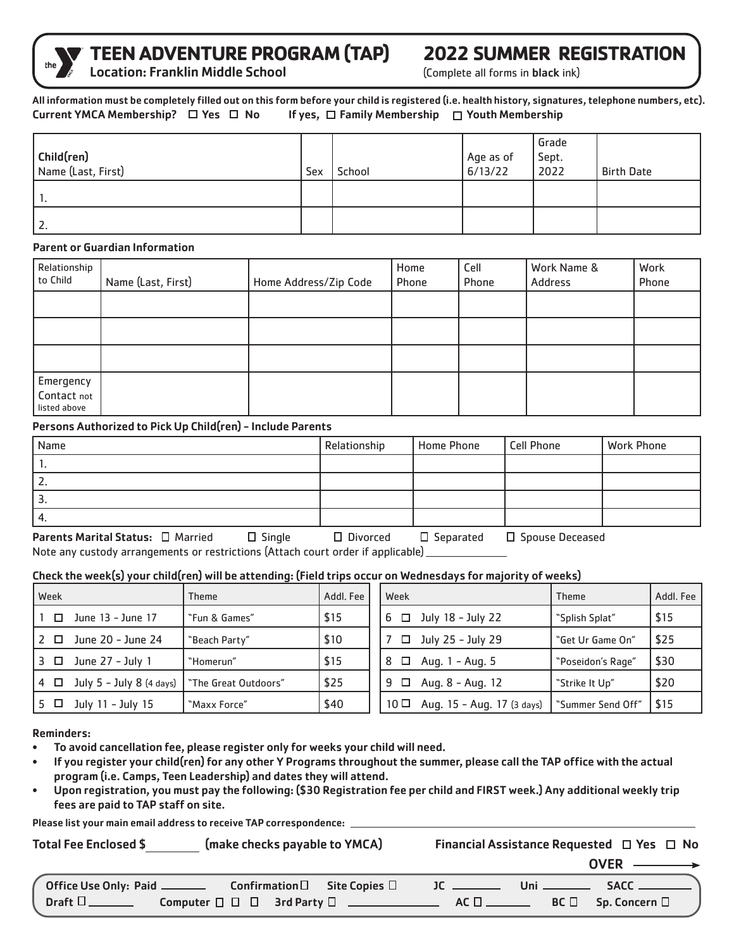

# **TEEN ADVENTURE PROGRAM (TAP) 2022 SUMMER REGISTRATION**<br>Location: Franklin Middle School (Complete all forms in black ink)

#### All information must be completely filled out on this form before your child is registered (i.e. health history, signatures, telephone numbers, etc). Current YMCA Membership?  $\Box$  Yes  $\Box$  No If yes,  $\Box$  Family Membership  $\Box$  Youth Membership

| Child(ren)<br>Name (Last, First) | Sex | School | Age as of<br>6/13/22 | Grade<br>Sept.<br>2022 | <b>Birth Date</b> |
|----------------------------------|-----|--------|----------------------|------------------------|-------------------|
|                                  |     |        |                      |                        |                   |
| 2.                               |     |        |                      |                        |                   |

#### Parent or Guardian Information

| Relationship<br>to Child                 | Name (Last, First) | Home Address/Zip Code | Home<br>Phone | Cell<br>Phone | Work Name &<br>Address | Work<br>Phone |
|------------------------------------------|--------------------|-----------------------|---------------|---------------|------------------------|---------------|
|                                          |                    |                       |               |               |                        |               |
|                                          |                    |                       |               |               |                        |               |
|                                          |                    |                       |               |               |                        |               |
| Emergency<br>Contact not<br>listed above |                    |                       |               |               |                        |               |

#### Persons Authorized to Pick Up Child(ren) - Include Parents

| Home Phone | <b>Cell Phone</b> | <b>Work Phone</b>                                    |
|------------|-------------------|------------------------------------------------------|
|            |                   |                                                      |
|            |                   |                                                      |
|            |                   |                                                      |
|            |                   |                                                      |
|            |                   | $\overline{\phantom{a}}$<br>$\overline{\phantom{a}}$ |

Parents Marital Status: □ Married □ Single □ Divorced □ Separated □ Spouse Deceased Note any custody arrangements or restrictions (Attach court order if applicable)

#### Check the week(s) your child(ren) will be attending: (Field trips occur on Wednesdays for majority of weeks)

| Week |                                   | <b>Theme</b>         | Addl. Fee | Week            |                            | <b>Theme</b>      | Addl. Fee |
|------|-----------------------------------|----------------------|-----------|-----------------|----------------------------|-------------------|-----------|
| □    | June 13 - June 17                 | "Fun & Games"        | \$15      |                 | $6 \Box$ July 18 - July 22 | "Splish Splat"    | \$15      |
| 2 □  | June 20 - June 24                 | "Beach Party"        | \$10      | $\Box$          | July 25 - July 29          | "Get Ur Game On"  | \$25      |
| 3 □  | June 27 - July 1                  | "Homerun"            | \$15      | □<br>-8         | Aug. 1 - Aug. 5            | "Poseidon's Rage" | \$30      |
|      | $4 \Box$ July 5 - July 8 (4 days) | "The Great Outdoors" | \$25      | $9$ $\Box$      | Aug. 8 - Aug. 12           | "Strike It Up"    | \$20      |
| 5 □  | July 11 - July 15                 | "Maxx Force"         | \$40      | 10 <sup>°</sup> | Aug. 15 - Aug. 17 (3 days) | "Summer Send Off" | 515       |

Reminders:

- To avoid cancellation fee, please register only for weeks your child will need.
- If you register your child(ren) for any other Y Programs throughout the summer, please call the TAP office with the actual program (i.e. Camps, Teen Leadership) and dates they will attend.
- Upon registration, you must pay the following: (\$30 Registration fee per child and FIRST week.) Any additional weekly trip fees are paid to TAP staff on site.

Please list your main email address to receive TAP correspondence:

| (make checks payable to YMCA)<br>Total Fee Enclosed \$ |  |  | Financial Assistance Requested $\Box$ Yes $\Box$ No |  |                                         |  |
|--------------------------------------------------------|--|--|-----------------------------------------------------|--|-----------------------------------------|--|
|                                                        |  |  |                                                     |  | $\overrightarrow{OVER} \longrightarrow$ |  |
|                                                        |  |  |                                                     |  |                                         |  |
| Draft $\square$                                        |  |  |                                                     |  |                                         |  |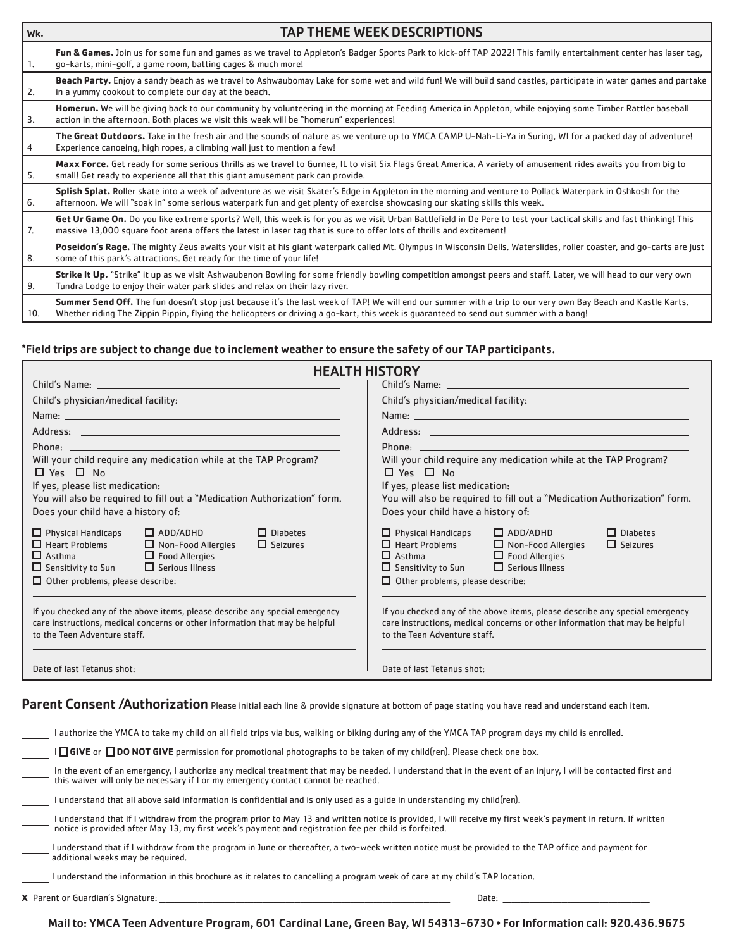| Wk. | <b>TAP THEME WEEK DESCRIPTIONS</b>                                                                                                                                                                                                                                                                     |
|-----|--------------------------------------------------------------------------------------------------------------------------------------------------------------------------------------------------------------------------------------------------------------------------------------------------------|
| 1.  | Fun & Games. Join us for some fun and games as we travel to Appleton's Badger Sports Park to kick-off TAP 2022! This family entertainment center has laser tag,<br>go-karts, mini-golf, a game room, batting cages & much more!                                                                        |
| 2.  | Beach Party. Enjoy a sandy beach as we travel to Ashwaubomay Lake for some wet and wild fun! We will build sand castles, participate in water games and partake<br>in a yummy cookout to complete our day at the beach.                                                                                |
| 3.  | Homerun. We will be giving back to our community by volunteering in the morning at Feeding America in Appleton, while enjoying some Timber Rattler baseball<br>action in the afternoon. Both places we visit this week will be "homerun" experiences!                                                  |
| 4   | The Great Outdoors. Take in the fresh air and the sounds of nature as we venture up to YMCA CAMP U-Nah-Li-Ya in Suring, WI for a packed day of adventure!<br>Experience canoeing, high ropes, a climbing wall just to mention a few!                                                                   |
| 5.  | Maxx Force. Get ready for some serious thrills as we travel to Gurnee, IL to visit Six Flags Great America. A variety of amusement rides awaits you from big to<br>small! Get ready to experience all that this giant amusement park can provide.                                                      |
| 6.  | Splish Splat. Roller skate into a week of adventure as we visit Skater's Edge in Appleton in the morning and venture to Pollack Waterpark in Oshkosh for the<br>afternoon. We will "soak in" some serious waterpark fun and get plenty of exercise showcasing our skating skills this week.            |
| 7.  | Get Ur Game On. Do you like extreme sports? Well, this week is for you as we visit Urban Battlefield in De Pere to test your tactical skills and fast thinking! This<br>massive 13,000 square foot arena offers the latest in laser tag that is sure to offer lots of thrills and excitement!          |
| 8.  | Poseidon's Rage. The mighty Zeus awaits your visit at his giant waterpark called Mt. Olympus in Wisconsin Dells. Waterslides, roller coaster, and go-carts are just<br>some of this park's attractions. Get ready for the time of your life!                                                           |
| 9.  | Strike It Up. "Strike" it up as we visit Ashwaubenon Bowling for some friendly bowling competition amongst peers and staff. Later, we will head to our very own<br>Tundra Lodge to enjoy their water park slides and relax on their lazy river.                                                        |
| 10. | Summer Send Off. The fun doesn't stop just because it's the last week of TAP! We will end our summer with a trip to our very own Bay Beach and Kastle Karts.<br>Whether riding The Zippin Pippin, flying the helicopters or driving a go-kart, this week is guaranteed to send out summer with a bang! |

#### \*Field trips are subject to change due to inclement weather to ensure the safety of our TAP participants.

| <b>HEALTH HISTORY</b>                                                                                                                                                                                                                |                                                                                                                                                                                                                                                                                                               |  |  |  |
|--------------------------------------------------------------------------------------------------------------------------------------------------------------------------------------------------------------------------------------|---------------------------------------------------------------------------------------------------------------------------------------------------------------------------------------------------------------------------------------------------------------------------------------------------------------|--|--|--|
|                                                                                                                                                                                                                                      |                                                                                                                                                                                                                                                                                                               |  |  |  |
|                                                                                                                                                                                                                                      |                                                                                                                                                                                                                                                                                                               |  |  |  |
|                                                                                                                                                                                                                                      |                                                                                                                                                                                                                                                                                                               |  |  |  |
|                                                                                                                                                                                                                                      |                                                                                                                                                                                                                                                                                                               |  |  |  |
| Phone: <u>Andrea Barbara and American and American and American and American and American and American and American and American and American and American and American and American and American and American and American and </u> | Phone: <u>Andrea Barbara and American and American and American and American and American and American and American and American and American and American and American and American and American and American and American and </u>                                                                          |  |  |  |
| Will your child require any medication while at the TAP Program?<br>$\Box$ Yes $\Box$ No                                                                                                                                             | Will your child require any medication while at the TAP Program?<br>$\Box$ Yes $\Box$ No                                                                                                                                                                                                                      |  |  |  |
|                                                                                                                                                                                                                                      |                                                                                                                                                                                                                                                                                                               |  |  |  |
| You will also be required to fill out a "Medication Authorization" form.                                                                                                                                                             | You will also be required to fill out a "Medication Authorization" form.                                                                                                                                                                                                                                      |  |  |  |
| Does your child have a history of:                                                                                                                                                                                                   | Does your child have a history of:                                                                                                                                                                                                                                                                            |  |  |  |
| $\Box$ ADD/ADHD<br>$\Box$ Physical Handicaps<br>$\Box$ Diabetes<br>$\Box$ Heart Problems $\Box$ Non-Food Allergies<br>$\Box$ Seizures<br>$\Box$ Asthma $\Box$ Food Allergies<br>$\Box$ Sensitivity to Sun $\Box$ Serious Illness     | $\Box$ ADD/ADHD<br>$\Box$ Physical Handicaps<br>$\Box$ Diabetes<br>$\Box$ Heart Problems $\Box$ Non-Food Allergies<br>$\Box$ Seizures<br>$\Box$ Asthma $\Box$ Food Allergies<br>$\Box$ Sensitivity to Sun $\Box$ Serious Illness                                                                              |  |  |  |
| If you checked any of the above items, please describe any special emergency<br>care instructions, medical concerns or other information that may be helpful<br>to the Teen Adventure staff.                                         | If you checked any of the above items, please describe any special emergency<br>care instructions, medical concerns or other information that may be helpful<br>to the Teen Adventure staff.<br>a sa bandar a shekarar 1980 a shekarar 1980 a shekarar 1980 a shekarar 1980 a shekarar 1980 a shekarar 1980 a |  |  |  |
|                                                                                                                                                                                                                                      |                                                                                                                                                                                                                                                                                                               |  |  |  |

## Parent Consent /Authorization Please initial each line & provide signature at bottom of page stating you have read and understand each item.

| l authorize the YMCA to take my child on all field trips via bus, walking or biking during any of the YMCA TAP program days my child is enrolled.                                                                                                                      |  |  |  |  |
|------------------------------------------------------------------------------------------------------------------------------------------------------------------------------------------------------------------------------------------------------------------------|--|--|--|--|
| I   GIVE or   DO NOT GIVE permission for promotional photographs to be taken of my child(ren). Please check one box.                                                                                                                                                   |  |  |  |  |
| In the event of an emergency, I authorize any medical treatment that may be needed. I understand that in the event of an injury, I will be contacted first and<br>this waiver will only be necessary if I or my emergency contact cannot be reached.                   |  |  |  |  |
| l understand that all above said information is confidential and is only used as a quide in understanding my child(ren).                                                                                                                                               |  |  |  |  |
| l understand that if I withdraw from the program prior to May 13 and written notice is provided, I will receive my first week's payment in return. If written<br>notice is provided after May 13, my first week's payment and registration fee per child is forfeited. |  |  |  |  |
| I understand that if I withdraw from the program in June or thereafter, a two-week written notice must be provided to the TAP office and payment for<br>additional weeks may be required.                                                                              |  |  |  |  |
| I understand the information in this brochure as it relates to cancelling a program week of care at my child's TAP location.                                                                                                                                           |  |  |  |  |
| <b>X</b> Parent or Guardian's Signature:<br>Date:                                                                                                                                                                                                                      |  |  |  |  |

Mail to: YMCA Teen Adventure Program, 601 Cardinal Lane, Green Bay, WI 54313-6730 • For Information call: 920.436.9675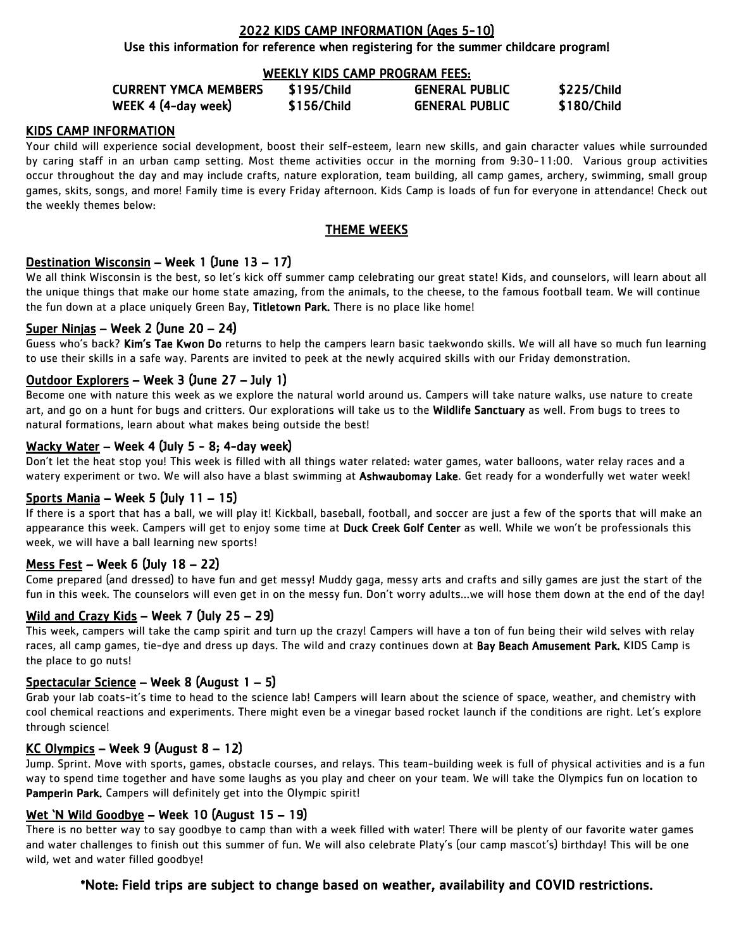#### 2022 KIDS CAMP INFORMATION (Ages 5-10)

Use this information for reference when registering for the summer childcare program!

#### WEEKLY KIDS CAMP PROGRAM FEES:

| <b>CURRENT YMCA MEMBERS</b> | \$195/Child | <b>GENERAL PUBLIC</b> | \$225/Child |
|-----------------------------|-------------|-----------------------|-------------|
| WEEK 4 (4-day week)         | \$156/Child | <b>GENERAL PUBLIC</b> | \$180/Child |

#### KIDS CAMP INFORMATION

Your child will experience social development, boost their self-esteem, learn new skills, and gain character values while surrounded by caring staff in an urban camp setting. Most theme activities occur in the morning from 9:30-11:00. Various group activities occur throughout the day and may include crafts, nature exploration, team building, all camp games, archery, swimming, small group games, skits, songs, and more! Family time is every Friday afternoon. Kids Camp is loads of fun for everyone in attendance! Check out the weekly themes below:

#### THEME WEEKS

#### Destination Wisconsin – Week 1 (June 13 – 17)

We all think Wisconsin is the best, so let's kick off summer camp celebrating our great state! Kids, and counselors, will learn about all the unique things that make our home state amazing, from the animals, to the cheese, to the famous football team. We will continue the fun down at a place uniquely Green Bay, Titletown Park. There is no place like home!

#### Super Ninjas – Week 2 (June 20 – 24)

Guess who's back? Kim's Tae Kwon Do returns to help the campers learn basic taekwondo skills. We will all have so much fun learning to use their skills in a safe way. Parents are invited to peek at the newly acquired skills with our Friday demonstration.

#### Outdoor Explorers – Week 3 (June 27 – July 1)

Become one with nature this week as we explore the natural world around us. Campers will take nature walks, use nature to create art, and go on a hunt for bugs and critters. Our explorations will take us to the Wildlife Sanctuary as well. From bugs to trees to natural formations, learn about what makes being outside the best!

#### Wacky Water – Week 4 (July 5 - 8; 4-day week)

Don't let the heat stop you! This week is filled with all things water related: water games, water balloons, water relay races and a watery experiment or two. We will also have a blast swimming at Ashwaubomay Lake. Get ready for a wonderfully wet water week!

#### Sports Mania – Week 5 (July 11 – 15)

If there is a sport that has a ball, we will play it! Kickball, baseball, football, and soccer are just a few of the sports that will make an appearance this week. Campers will get to enjoy some time at Duck Creek Golf Center as well. While we won't be professionals this week, we will have a ball learning new sports!

#### Mess Fest – Week 6 (July 18 – 22)

Come prepared (and dressed) to have fun and get messy! Muddy gaga, messy arts and crafts and silly games are just the start of the fun in this week. The counselors will even get in on the messy fun. Don't worry adults…we will hose them down at the end of the day!

#### Wild and Crazy Kids – Week 7 (July 25 – 29)

This week, campers will take the camp spirit and turn up the crazy! Campers will have a ton of fun being their wild selves with relay races, all camp games, tie-dye and dress up days. The wild and crazy continues down at Bay Beach Amusement Park. KIDS Camp is the place to go nuts!

#### Spectacular Science – Week 8 (August 1 – 5)

Grab your lab coats-it's time to head to the science lab! Campers will learn about the science of space, weather, and chemistry with cool chemical reactions and experiments. There might even be a vinegar based rocket launch if the conditions are right. Let's explore through science!

#### KC Olympics – Week 9 (August 8 – 12)

Jump. Sprint. Move with sports, games, obstacle courses, and relays. This team-building week is full of physical activities and is a fun way to spend time together and have some laughs as you play and cheer on your team. We will take the Olympics fun on location to Pamperin Park. Campers will definitely get into the Olympic spirit!

#### Wet 'N Wild Goodbye – Week 10 (August 15 – 19)

There is no better way to say goodbye to camp than with a week filled with water! There will be plenty of our favorite water games and water challenges to finish out this summer of fun. We will also celebrate Platy's (our camp mascot's) birthday! This will be one wild, wet and water filled goodbye!

#### \*Note: Field trips are subject to change based on weather, availability and COVID restrictions.